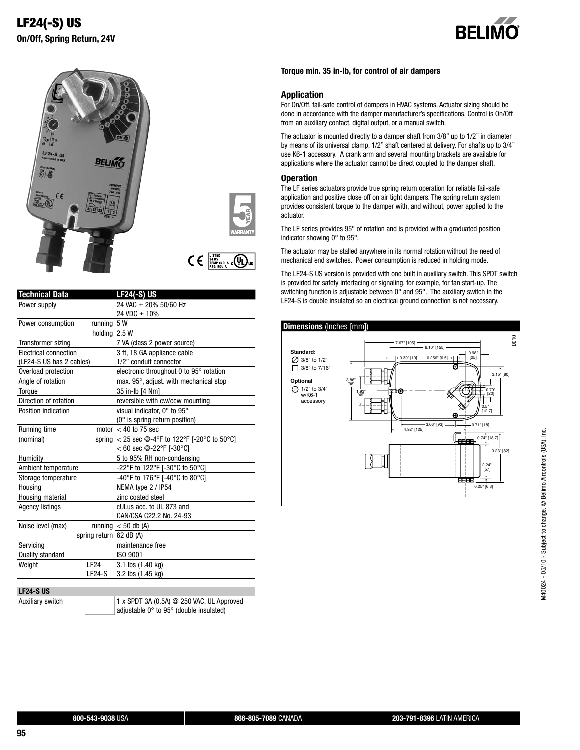





 $\mathsf{C}\in \mathbb{F}^{\frac{\text{LISTED}}{\text{94 D5}}}_{\text{REG. EQUIP}}$ 

| <b>Technical Data</b>    |                           | <b>LF24(-S) US</b>                                    |
|--------------------------|---------------------------|-------------------------------------------------------|
| Power supply             |                           | 24 VAC ± 20% 50/60 Hz                                 |
|                          |                           | 24 VDC ± 10%                                          |
| Power consumption        | running 5 W               |                                                       |
|                          | holding 2.5 W             |                                                       |
| Transformer sizing       |                           | 7 VA (class 2 power source)                           |
| Electrical connection    |                           | 3 ft, 18 GA appliance cable                           |
| (LF24-S US has 2 cables) |                           | 1/2" conduit connector                                |
| Overload protection      |                           | electronic throughout 0 to 95° rotation               |
| Angle of rotation        |                           | max. 95°, adjust. with mechanical stop                |
| Torque                   |                           | 35 in-lb [4 Nm]                                       |
| Direction of rotation    |                           | reversible with cw/ccw mounting                       |
| Position indication      |                           | visual indicator. 0° to 95°                           |
|                          |                           | $(0^{\circ}$ is spring return position)               |
| Running time             |                           | motor $< 40$ to 75 sec                                |
| (nominal)                |                           | spring $ $ < 25 sec $@$ -4°F to 122°F [-20°C to 50°C] |
|                          |                           | $< 60$ sec @-22°F [-30°C]                             |
| Humidity                 |                           | 5 to 95% RH non-condensing                            |
| Ambient temperature      |                           | -22°F to 122°F [-30°C to 50°C]                        |
| Storage temperature      |                           | -40°F to 176°F [-40°C to 80°C]                        |
| Housing                  |                           | NEMA type 2 / IP54                                    |
| Housing material         |                           | zinc coated steel                                     |
| <b>Agency listings</b>   |                           | cULus acc. to UL 873 and                              |
|                          |                           | CAN/CSA C22.2 No. 24-93                               |
| Noise level (max)        |                           | running $<$ 50 db (A)                                 |
|                          | spring return $62$ dB (A) |                                                       |
| Servicing                |                           | maintenance free                                      |
| <b>Quality standard</b>  |                           | ISO 9001                                              |
| Weight                   | IF <sub>24</sub>          | 3.1 lbs (1.40 kg)                                     |
|                          | $LF24-S$                  | 3.2 lbs (1.45 kg)                                     |
|                          |                           |                                                       |
| <b>LF24-S US</b>         |                           |                                                       |

| Auxiliary switch | 1 x SPDT 3A (0.5A) $@$ 250 VAC, UL Approved |
|------------------|---------------------------------------------|
|                  | adjustable 0° to 95° (double insulated)     |

## **Torque min. 35 in-lb, for control of air dampers**

# **Application**

For On/Off, fail-safe control of dampers in HVAC systems. Actuator sizing should be done in accordance with the damper manufacturer's specifications. Control is On/Off from an auxiliary contact, digital output, or a manual switch.

The actuator is mounted directly to a damper shaft from 3/8" up to 1/2" in diameter by means of its universal clamp, 1/2" shaft centered at delivery. For shafts up to 3/4" use K6-1 accessory. A crank arm and several mounting brackets are available for applications where the actuator cannot be direct coupled to the damper shaft.

## **Operation**

The LF series actuators provide true spring return operation for reliable fail-safe application and positive close off on air tight dampers. The spring return system provides consistent torque to the damper with, and without, power applied to the actuator.

The LF series provides 95° of rotation and is provided with a graduated position indicator showing 0° to 95°.

The actuator may be stalled anywhere in its normal rotation without the need of mechanical end switches. Power consumption is reduced in holding mode.

The LF24-S US version is provided with one built in auxiliary switch. This SPDT switch is provided for safety interfacing or signaling, for example, for fan start-up. The switching function is adjustable between 0° and 95°. The auxiliary switch in the LF24-S is double insulated so an electrical ground connection is not necessary.

# **Dimensions** (Inches [mm])